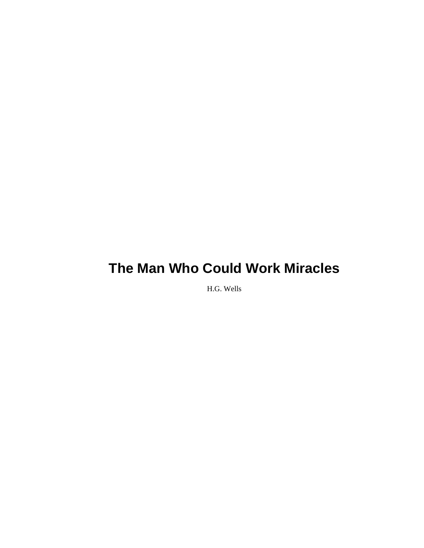H.G. Wells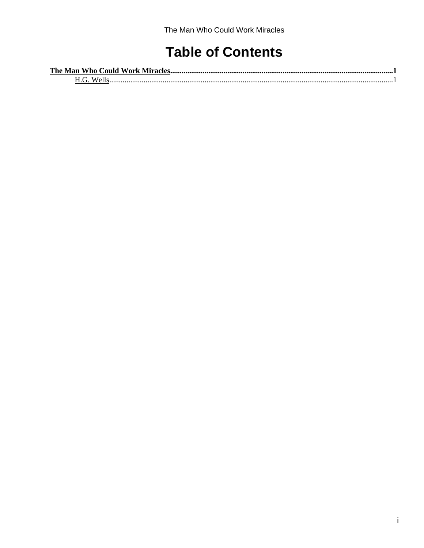# **Table of Contents**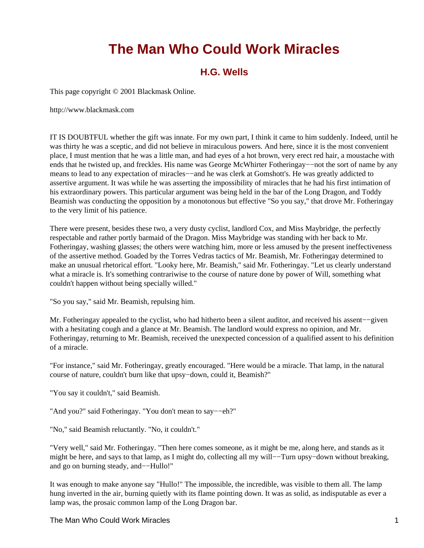# **H.G. Wells**

<span id="page-2-1"></span><span id="page-2-0"></span>This page copyright © 2001 Blackmask Online.

http://www.blackmask.com

IT IS DOUBTFUL whether the gift was innate. For my own part, I think it came to him suddenly. Indeed, until he was thirty he was a sceptic, and did not believe in miraculous powers. And here, since it is the most convenient place, I must mention that he was a little man, and had eyes of a hot brown, very erect red hair, a moustache with ends that he twisted up, and freckles. His name was George McWhirter Fotheringay––not the sort of name by any means to lead to any expectation of miracles––and he was clerk at Gomshott's. He was greatly addicted to assertive argument. It was while he was asserting the impossibility of miracles that he had his first intimation of his extraordinary powers. This particular argument was being held in the bar of the Long Dragon, and Toddy Beamish was conducting the opposition by a monotonous but effective "So you say," that drove Mr. Fotheringay to the very limit of his patience.

There were present, besides these two, a very dusty cyclist, landlord Cox, and Miss Maybridge, the perfectly respectable and rather portly barmaid of the Dragon. Miss Maybridge was standing with her back to Mr. Fotheringay, washing glasses; the others were watching him, more or less amused by the present ineffectiveness of the assertive method. Goaded by the Torres Vedras tactics of Mr. Beamish, Mr. Fotheringay determined to make an unusual rhetorical effort. "Looky here, Mr. Beamish," said Mr. Fotheringay. "Let us clearly understand what a miracle is. It's something contrariwise to the course of nature done by power of Will, something what couldn't happen without being specially willed."

"So you say," said Mr. Beamish, repulsing him.

Mr. Fotheringay appealed to the cyclist, who had hitherto been a silent auditor, and received his assent−−given with a hesitating cough and a glance at Mr. Beamish. The landlord would express no opinion, and Mr. Fotheringay, returning to Mr. Beamish, received the unexpected concession of a qualified assent to his definition of a miracle.

"For instance," said Mr. Fotheringay, greatly encouraged. "Here would be a miracle. That lamp, in the natural course of nature, couldn't burn like that upsy−down, could it, Beamish?"

"You say it couldn't," said Beamish.

"And you?" said Fotheringay. "You don't mean to say−−eh?"

"No," said Beamish reluctantly. "No, it couldn't."

"Very well," said Mr. Fotheringay. "Then here comes someone, as it might be me, along here, and stands as it might be here, and says to that lamp, as I might do, collecting all my will−−Turn upsy−down without breaking, and go on burning steady, and−−Hullo!"

It was enough to make anyone say "Hullo!" The impossible, the incredible, was visible to them all. The lamp hung inverted in the air, burning quietly with its flame pointing down. It was as solid, as indisputable as ever a lamp was, the prosaic common lamp of the Long Dragon bar.

The Man Who Could Work Miracles 1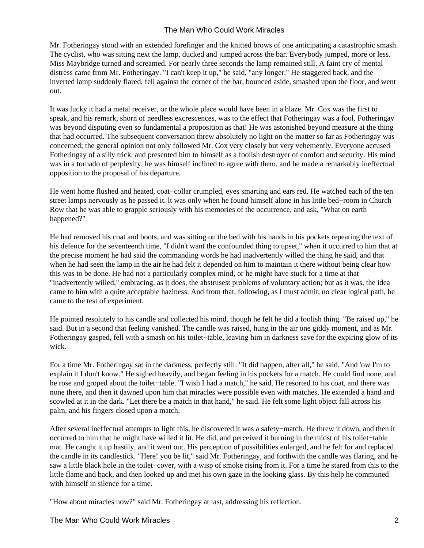Mr. Fotheringay stood with an extended forefinger and the knitted brows of one anticipating a catastrophic smash. The cyclist, who was sitting next the lamp, ducked and jumped across the bar. Everybody jumped, more or less. Miss Maybridge turned and screamed. For nearly three seconds the lamp remained still. A faint cry of mental distress came from Mr. Fotheringay. "I can't keep it up," he said, "any longer." He staggered back, and the inverted lamp suddenly flared, fell against the corner of the bar, bounced aside, smashed upon the floor, and went out.

It was lucky it had a metal receiver, or the whole place would have been in a blaze. Mr. Cox was the first to speak, and his remark, shorn of needless excrescences, was to the effect that Fotheringay was a fool. Fotheringay was beyond disputing even so fundamental a proposition as that! He was astonished beyond measure at the thing that had occurred. The subsequent conversation threw absolutely no light on the matter so far as Fotheringay was concerned; the general opinion not only followed Mr. Cox very closely but very vehemently. Everyone accused Fotheringay of a silly trick, and presented him to himself as a foolish destroyer of comfort and security. His mind was in a tornado of perplexity, he was himself inclined to agree with them, and he made a remarkably ineffectual opposition to the proposal of his departure.

He went home flushed and heated, coat−collar crumpled, eyes smarting and ears red. He watched each of the ten street lamps nervously as he passed it. lt was only when he found himself alone in his little bed−room in Church Row that he was able to grapple seriously with his memories of the occurrence, and ask, "What on earth happened?"

He had removed his coat and boots, and was sitting on the bed with his hands in his pockets repeating the text of his defence for the seventeenth time, "I didn't want the confounded thing to upset," when it occurred to him that at the precise moment he had said the commanding words he had inadvertently willed the thing he said, and that when he had seen the lamp in the air he had felt it depended on him to maintain it there without being clear how this was to be done. He had not a particularly complex mind, or he might have stuck for a time at that "inadvertently willed," embracing, as it does, the abstrusest problems of voluntary action; but as it was, the idea came to him with a quite acceptable haziness. And from that, following, as I must admit, no clear logical path, he came to the test of experiment.

He pointed resolutely to his candle and collected his mind, though he felt he did a foolish thing. "Be raised up," he said. But in a second that feeling vanished. The candle was raised, hung in the air one giddy moment, and as Mr. Fotheringay gasped, fell with a smash on his toilet−table, leaving him in darkness save for the expiring glow of its wick.

For a time Mr. Fotheringay sat in the darkness, perfectly still. "It did happen, after all," he said. "And 'ow I'm to explain it I don't know." He sighed heavily, and began feeling in his pockets for a match. He could find none, and he rose and groped about the toilet−table. "I wish I had a match," he said. He resorted to his coat, and there was none there, and then it dawned upon him that miracles were possible even with matches. He extended a hand and scowled at it in the dark. "Let there be a match in that hand," he said. He felt some light object fall across his palm, and his fingers closed upon a match.

After several ineffectual attempts to light this, he discovered it was a safety−match. He threw it down, and then it occurred to him that he might have willed it lit. He did, and perceived it burning in the midst of his toilet−table mat. He caught it up hastily, and it went out. His perception of possibilities enlarged, and he felt for and replaced the candle in its candlestick. "Here! you be lit," said Mr. Fotheringay, and forthwith the candle was flaring, and he saw a little black hole in the toilet−cover, with a wisp of smoke rising from it. For a time he stared from this to the little flame and back, and then looked up and met his own gaze in the looking glass. By this help he communed with himself in silence for a time.

"How about miracles now?" said Mr. Fotheringay at last, addressing his reflection.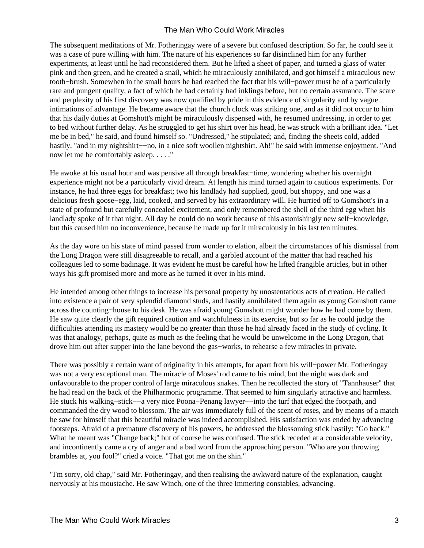The subsequent meditations of Mr. Fotheringay were of a severe but confused description. So far, he could see it was a case of pure willing with him. The nature of his experiences so far disinclined him for any further experiments, at least until he had reconsidered them. But he lifted a sheet of paper, and turned a glass of water pink and then green, and he created a snail, which he miraculously annihilated, and got himself a miraculous new tooth−brush. Somewhen in the small hours he had reached the fact that his will−power must be of a particularly rare and pungent quality, a fact of which he had certainly had inklings before, but no certain assurance. The scare and perplexity of his first discovery was now qualified by pride in this evidence of singularity and by vague intimations of advantage. He became aware that the church clock was striking one, and as it did not occur to him that his daily duties at Gomshott's might be miraculously dispensed with, he resumed undressing, in order to get to bed without further delay. As he struggled to get his shirt over his head, he was struck with a brilliant idea. "Let me be in bed," he said, and found himself so. "Undressed," he stipulated; and, finding the sheets cold, added hastily, "and in my nightshirt−−no, in a nice soft woollen nightshirt. Ah!" he said with immense enjoyment. "And now let me be comfortably asleep. . . . ."

He awoke at his usual hour and was pensive all through breakfast−time, wondering whether his overnight experience might not be a particularly vivid dream. At length his mind turned again to cautious experiments. For instance, he had three eggs for breakfast; two his landlady had supplied, good, but shoppy, and one was a delicious fresh goose−egg, laid, cooked, and served by his extraordinary will. He hurried off to Gomshott's in a state of profound but carefully concealed excitement, and only remembered the shell of the third egg when his landlady spoke of it that night. All day he could do no work because of this astonishingly new self−knowledge, but this caused him no inconvenience, because he made up for it miraculously in his last ten minutes.

As the day wore on his state of mind passed from wonder to elation, albeit the circumstances of his dismissal from the Long Dragon were still disagreeable to recall, and a garbled account of the matter that had reached his colleagues led to some badinage. It was evident he must be careful how he lifted frangible articles, but in other ways his gift promised more and more as he turned it over in his mind.

He intended among other things to increase his personal property by unostentatious acts of creation. He called into existence a pair of very splendid diamond studs, and hastily annihilated them again as young Gomshott came across the counting−house to his desk. He was afraid young Gomshott might wonder how he had come by them. He saw quite clearly the gift required caution and watchfulness in its exercise, but so far as he could judge the difficulties attending its mastery would be no greater than those he had already faced in the study of cycling. It was that analogy, perhaps, quite as much as the feeling that he would be unwelcome in the Long Dragon, that drove him out after supper into the lane beyond the gas−works, to rehearse a few miracles in private.

There was possibly a certain want of originality in his attempts, for apart from his will−power Mr. Fotheringay was not a very exceptional man. The miracle of Moses' rod came to his mind, but the night was dark and unfavourable to the proper control of large miraculous snakes. Then he recollected the story of "Tannhauser" that he had read on the back of the Philharmonic programme. That seemed to him singularly attractive and harmless. He stuck his walking–stick-−a very nice Poona–Penang lawyer-−into the turf that edged the footpath, and commanded the dry wood to blossom. The air was immediately full of the scent of roses, and by means of a match he saw for himself that this beautiful miracle was indeed accomplished. His satisfaction was ended by advancing footsteps. Afraid of a premature discovery of his powers, he addressed the blossoming stick hastily: "Go back." What he meant was "Change back;" but of course he was confused. The stick receded at a considerable velocity, and incontinently came a cry of anger and a bad word from the approaching person. "Who are you throwing brambles at, you fool?" cried a voice. "That got me on the shin."

"I'm sorry, old chap," said Mr. Fotheringay, and then realising the awkward nature of the explanation, caught nervously at his moustache. He saw Winch, one of the three Immering constables, advancing.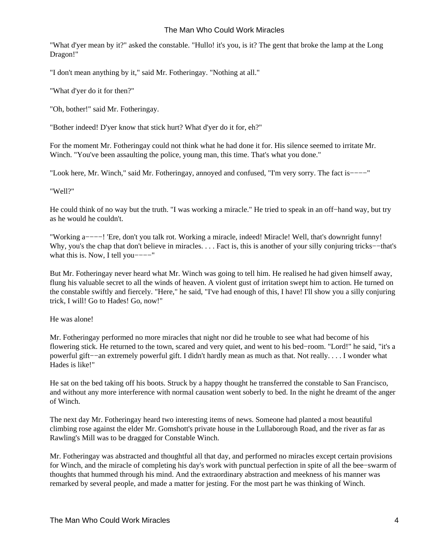"What d'yer mean by it?" asked the constable. "Hullo! it's you, is it? The gent that broke the lamp at the Long Dragon!"

"I don't mean anything by it," said Mr. Fotheringay. "Nothing at all."

"What d'yer do it for then?"

"Oh, bother!" said Mr. Fotheringay.

"Bother indeed! D'yer know that stick hurt? What d'yer do it for, eh?"

For the moment Mr. Fotheringay could not think what he had done it for. His silence seemed to irritate Mr. Winch. "You've been assaulting the police, young man, this time. That's what you done."

"Look here, Mr. Winch," said Mr. Fotheringay, annoyed and confused, "I'm very sorry. The fact is−−−−"

"Well?"

He could think of no way but the truth. "I was working a miracle." He tried to speak in an off−hand way, but try as he would he couldn't.

"Working a−−−−! 'Ere, don't you talk rot. Working a miracle, indeed! Miracle! Well, that's downright funny! Why, you's the chap that don't believe in miracles. . . . Fact is, this is another of your silly conjuring tricks−−that's what this is. Now, I tell you – – – "

But Mr. Fotheringay never heard what Mr. Winch was going to tell him. He realised he had given himself away, flung his valuable secret to all the winds of heaven. A violent gust of irritation swept him to action. He turned on the constable swiftly and fiercely. "Here," he said, "I've had enough of this, I have! I'll show you a silly conjuring trick, I will! Go to Hades! Go, now!"

He was alone!

Mr. Fotheringay performed no more miracles that night nor did he trouble to see what had become of his flowering stick. He returned to the town, scared and very quiet, and went to his bed−room. "Lord!" he said, "it's a powerful gift−−an extremely powerful gift. I didn't hardly mean as much as that. Not really. . . . I wonder what Hades is like!"

He sat on the bed taking off his boots. Struck by a happy thought he transferred the constable to San Francisco, and without any more interference with normal causation went soberly to bed. In the night he dreamt of the anger of Winch.

The next day Mr. Fotheringay heard two interesting items of news. Someone had planted a most beautiful climbing rose against the elder Mr. Gomshott's private house in the Lullaborough Road, and the river as far as Rawling's Mill was to be dragged for Constable Winch.

Mr. Fotheringay was abstracted and thoughtful all that day, and performed no miracles except certain provisions for Winch, and the miracle of completing his day's work with punctual perfection in spite of all the bee−swarm of thoughts that hummed through his mind. And the extraordinary abstraction and meekness of his manner was remarked by several people, and made a matter for jesting. For the most part he was thinking of Winch.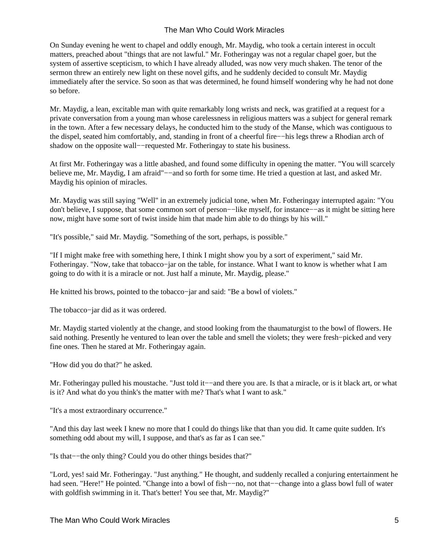On Sunday evening he went to chapel and oddly enough, Mr. Maydig, who took a certain interest in occult matters, preached about "things that are not lawful." Mr. Fotheringay was not a regular chapel goer, but the system of assertive scepticism, to which I have already alluded, was now very much shaken. The tenor of the sermon threw an entirely new light on these novel gifts, and he suddenly decided to consult Mr. Maydig immediately after the service. So soon as that was determined, he found himself wondering why he had not done so before.

Mr. Maydig, a lean, excitable man with quite remarkably long wrists and neck, was gratified at a request for a private conversation from a young man whose carelessness in religious matters was a subject for general remark in the town. After a few necessary delays, he conducted him to the study of the Manse, which was contiguous to the dispel, seated him comfortably, and, standing in front of a cheerful fire−−his legs threw a Rhodian arch of shadow on the opposite wall−−requested Mr. Fotheringay to state his business.

At first Mr. Fotheringay was a little abashed, and found some difficulty in opening the matter. "You will scarcely believe me, Mr. Maydig, I am afraid"−−and so forth for some time. He tried a question at last, and asked Mr. Maydig his opinion of miracles.

Mr. Maydig was still saying "Well" in an extremely judicial tone, when Mr. Fotheringay interrupted again: "You don't believe, I suppose, that some common sort of person−−like myself, for instance−−as it might be sitting here now, might have some sort of twist inside him that made him able to do things by his will."

"It's possible," said Mr. Maydig. "Something of the sort, perhaps, is possible."

"If I might make free with something here, I think I might show you by a sort of experiment," said Mr. Fotheringay. "Now, take that tobacco−jar on the table, for instance. What I want to know is whether what I am going to do with it is a miracle or not. Just half a minute, Mr. Maydig, please."

He knitted his brows, pointed to the tobacco−jar and said: "Be a bowl of violets."

The tobacco−jar did as it was ordered.

Mr. Maydig started violently at the change, and stood looking from the thaumaturgist to the bowl of flowers. He said nothing. Presently he ventured to lean over the table and smell the violets; they were fresh−picked and very fine ones. Then he stared at Mr. Fotheringay again.

"How did you do that?" he asked.

Mr. Fotheringay pulled his moustache. "Just told it-−and there you are. Is that a miracle, or is it black art, or what is it? And what do you think's the matter with me? That's what I want to ask."

"It's a most extraordinary occurrence."

"And this day last week I knew no more that I could do things like that than you did. It came quite sudden. It's something odd about my will, I suppose, and that's as far as I can see."

"Is that−−the only thing? Could you do other things besides that?"

"Lord, yes! said Mr. Fotheringay. "Just anything." He thought, and suddenly recalled a conjuring entertainment he had seen. "Here!" He pointed. "Change into a bowl of fish−−no, not that−−change into a glass bowl full of water with goldfish swimming in it. That's better! You see that, Mr. Maydig?"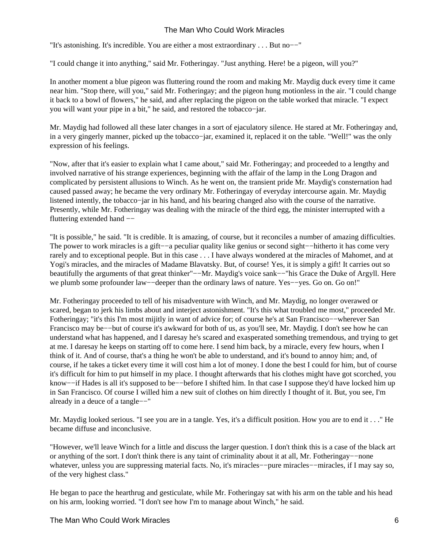"It's astonishing. It's incredible. You are either a most extraordinary . . . But no−−"

"I could change it into anything," said Mr. Fotheringay. "Just anything. Here! be a pigeon, will you?"

In another moment a blue pigeon was fluttering round the room and making Mr. Maydig duck every time it came near him. "Stop there, will you," said Mr. Fotheringay; and the pigeon hung motionless in the air. "I could change it back to a bowl of flowers," he said, and after replacing the pigeon on the table worked that miracle. "I expect you will want your pipe in a bit," he said, and restored the tobacco−jar.

Mr. Maydig had followed all these later changes in a sort of ejaculatory silence. He stared at Mr. Fotheringay and, in a very gingerly manner, picked up the tobacco−jar, examined it, replaced it on the table. "Well!" was the only expression of his feelings.

"Now, after that it's easier to explain what I came about," said Mr. Fotheringay; and proceeded to a lengthy and involved narrative of his strange experiences, beginning with the affair of the lamp in the Long Dragon and complicated by persistent allusions to Winch. As he went on, the transient pride Mr. Maydig's consternation had caused passed away; he became the very ordinary Mr. Fotheringay of everyday intercourse again. Mr. Maydig listened intently, the tobacco−jar in his hand, and his bearing changed also with the course of the narrative. Presently, while Mr. Fotheringay was dealing with the miracle of the third egg, the minister interrupted with a fluttering extended hand −−

"It is possible," he said. "It is credible. It is amazing, of course, but it reconciles a number of amazing difficulties. The power to work miracles is a gift—–a peculiar quality like genius or second sight—hitherto it has come very rarely and to exceptional people. But in this case . . . I have always wondered at the miracles of Mahomet, and at Yogi's miracles, and the miracles of Madame Blavatsky. But, of course! Yes, it is simply a gift! It carries out so beautifully the arguments of that great thinker"−−Mr. Maydig's voice sank−−"his Grace the Duke of Argyll. Here we plumb some profounder law—–deeper than the ordinary laws of nature. Yes—−yes. Go on. Go on!"

Mr. Fotheringay proceeded to tell of his misadventure with Winch, and Mr. Maydig, no longer overawed or scared, began to jerk his limbs about and interject astonishment. "It's this what troubled me most," proceeded Mr. Fotheringay; "it's this I'm most mijitly in want of advice for; of course he's at San Francisco−−wherever San Francisco may be−−but of course it's awkward for both of us, as you'll see, Mr. Maydig. I don't see how he can understand what has happened, and I daresay he's scared and exasperated something tremendous, and trying to get at me. I daresay he keeps on starting off to come here. I send him back, by a miracle, every few hours, when I think of it. And of course, that's a thing he won't be able to understand, and it's bound to annoy him; and, of course, if he takes a ticket every time it will cost him a lot of money. I done the best I could for him, but of course it's difficult for him to put himself in my place. I thought afterwards that his clothes might have got scorched, you know−−if Hades is all it's supposed to be−−before I shifted him. In that case I suppose they'd have locked him up in San Francisco. Of course I willed him a new suit of clothes on him directly I thought of it. But, you see, I'm already in a deuce of a tangle−−"

Mr. Maydig looked serious. "I see you are in a tangle. Yes, it's a difficult position. How you are to end it . . ." He became diffuse and inconclusive.

"However, we'll leave Winch for a little and discuss the larger question. I don't think this is a case of the black art or anything of the sort. I don't think there is any taint of criminality about it at all, Mr. Fotheringay−−none whatever, unless you are suppressing material facts. No, it's miracles−−pure miracles−−miracles, if I may say so, of the very highest class."

He began to pace the hearthrug and gesticulate, while Mr. Fotheringay sat with his arm on the table and his head on his arm, looking worried. "I don't see how I'm to manage about Winch," he said.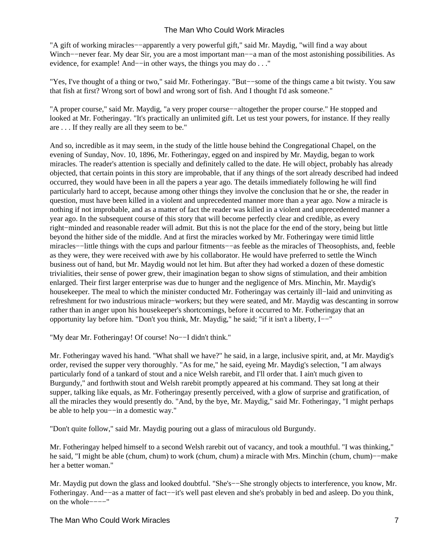"A gift of working miracles−−apparently a very powerful gift," said Mr. Maydig, "will find a way about Winch−−never fear. My dear Sir, you are a most important man−−a man of the most astonishing possibilities. As evidence, for example! And−−in other ways, the things you may do . . ."

"Yes, I've thought of a thing or two," said Mr. Fotheringay. "But−−some of the things came a bit twisty. You saw that fish at first? Wrong sort of bowl and wrong sort of fish. And I thought I'd ask someone."

"A proper course," said Mr. Maydig, "a very proper course−−altogether the proper course." He stopped and looked at Mr. Fotheringay. "It's practically an unlimited gift. Let us test your powers, for instance. If they really are . . . If they really are all they seem to be."

And so, incredible as it may seem, in the study of the little house behind the Congregational Chapel, on the evening of Sunday, Nov. 10, 1896, Mr. Fotheringay, egged on and inspired by Mr. Maydig, began to work miracles. The reader's attention is specially and definitely called to the date. He will object, probably has already objected, that certain points in this story are improbable, that if any things of the sort already described had indeed occurred, they would have been in all the papers a year ago. The details immediately following he will find particularly hard to accept, because among other things they involve the conclusion that he or she, the reader in question, must have been killed in a violent and unprecedented manner more than a year ago. Now a miracle is nothing if not improbable, and as a matter of fact the reader was killed in a violent and unprecedented manner a year ago. In the subsequent course of this story that will become perfectly clear and credible, as every right−minded and reasonable reader will admit. But this is not the place for the end of the story, being but little beyond the hither side of the middle. And at first the miracles worked by Mr. Fotheringay were timid little miracles−−little things with the cups and parlour fitments−−as feeble as the miracles of Theosophists, and, feeble as they were, they were received with awe by his collaborator. He would have preferred to settle the Winch business out of hand, but Mr. Maydig would not let him. But after they had worked a dozen of these domestic trivialities, their sense of power grew, their imagination began to show signs of stimulation, and their ambition enlarged. Their first larger enterprise was due to hunger and the negligence of Mrs. Minchin, Mr. Maydig's housekeeper. The meal to which the minister conducted Mr. Fotheringay was certainly ill−laid and uninviting as refreshment for two industrious miracle−workers; but they were seated, and Mr. Maydig was descanting in sorrow rather than in anger upon his housekeeper's shortcomings, before it occurred to Mr. Fotheringay that an opportunity lay before him. "Don't you think, Mr. Maydig," he said; "if it isn't a liberty, I−−"

"My dear Mr. Fotheringay! Of course! No−−I didn't think."

Mr. Fotheringay waved his hand. "What shall we have?" he said, in a large, inclusive spirit, and, at Mr. Maydig's order, revised the supper very thoroughly. "As for me," he said, eyeing Mr. Maydig's selection, "I am always particularly fond of a tankard of stout and a nice Welsh rarebit, and I'll order that. I ain't much given to Burgundy," and forthwith stout and Welsh rarebit promptly appeared at his command. They sat long at their supper, talking like equals, as Mr. Fotheringay presently perceived, with a glow of surprise and gratification, of all the miracles they would presently do. "And, by the bye, Mr. Maydig," said Mr. Fotheringay, "I might perhaps be able to help you−−in a domestic way."

"Don't quite follow," said Mr. Maydig pouring out a glass of miraculous old Burgundy.

Mr. Fotheringay helped himself to a second Welsh rarebit out of vacancy, and took a mouthful. "I was thinking," he said, "I might be able (chum, chum) to work (chum, chum) a miracle with Mrs. Minchin (chum, chum)−−make her a better woman."

Mr. Maydig put down the glass and looked doubtful. "She's-−She strongly objects to interference, you know, Mr. Fotheringay. And−−as a matter of fact−−it's well past eleven and she's probably in bed and asleep. Do you think, on the whole−−−−"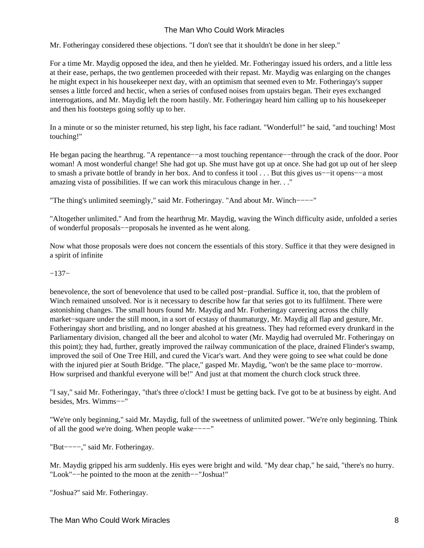Mr. Fotheringay considered these objections. "I don't see that it shouldn't be done in her sleep."

For a time Mr. Maydig opposed the idea, and then he yielded. Mr. Fotheringay issued his orders, and a little less at their ease, perhaps, the two gentlemen proceeded with their repast. Mr. Maydig was enlarging on the changes he might expect in his housekeeper next day, with an optimism that seemed even to Mr. Fotheringay's supper senses a little forced and hectic, when a series of confused noises from upstairs began. Their eyes exchanged interrogations, and Mr. Maydig left the room hastily. Mr. Fotheringay heard him calling up to his housekeeper and then his footsteps going softly up to her.

In a minute or so the minister returned, his step light, his face radiant. "Wonderful!" he said, "and touching! Most touching!"

He began pacing the hearthrug. "A repentance-−a most touching repentance--through the crack of the door. Poor woman! A most wonderful change! She had got up. She must have got up at once. She had got up out of her sleep to smash a private bottle of brandy in her box. And to confess it tool . . . But this gives us−−it opens−−a most amazing vista of possibilities. If we can work this miraculous change in her. . ."

"The thing's unlimited seemingly," said Mr. Fotheringay. "And about Mr. Winch−−−−"

"Altogether unlimited." And from the hearthrug Mr. Maydig, waving the Winch difficulty aside, unfolded a series of wonderful proposals−−proposals he invented as he went along.

Now what those proposals were does not concern the essentials of this story. Suffice it that they were designed in a spirit of infinite

#### −137−

benevolence, the sort of benevolence that used to be called post−prandial. Suffice it, too, that the problem of Winch remained unsolved. Nor is it necessary to describe how far that series got to its fulfilment. There were astonishing changes. The small hours found Mr. Maydig and Mr. Fotheringay careering across the chilly market−square under the still moon, in a sort of ecstasy of thaumaturgy, Mr. Maydig all flap and gesture, Mr. Fotheringay short and bristling, and no longer abashed at his greatness. They had reformed every drunkard in the Parliamentary division, changed all the beer and alcohol to water (Mr. Maydig had overruled Mr. Fotheringay on this point); they had, further, greatly improved the railway communication of the place, drained Flinder's swamp, improved the soil of One Tree Hill, and cured the Vicar's wart. And they were going to see what could be done with the injured pier at South Bridge. "The place," gasped Mr. Maydig, "won't be the same place to−morrow. How surprised and thankful everyone will be!" And just at that moment the church clock struck three.

"I say," said Mr. Fotheringay, "that's three o'clock! I must be getting back. I've got to be at business by eight. And besides, Mrs. Wimms−−"

"We're only beginning," said Mr. Maydig, full of the sweetness of unlimited power. "We're only beginning. Think of all the good we're doing. When people wake−−−−"

"But−−−−," said Mr. Fotheringay.

Mr. Maydig gripped his arm suddenly. His eyes were bright and wild. "My dear chap," he said, "there's no hurry. "Look"−−he pointed to the moon at the zenith−−"Joshua!"

"Joshua?" said Mr. Fotheringay.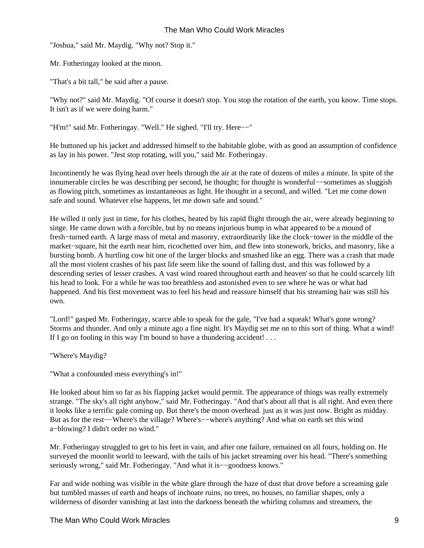"Joshua," said Mr. Maydig. "Why not? Stop it."

Mr. Fotheringay looked at the moon.

"That's a bit tall," he said after a pause.

"Why not?" said Mr. Maydig. "Of course it doesn't stop. You stop the rotation of the earth, you know. Time stops. It isn't as if we were doing harm."

"H'm!" said Mr. Fotheringay. "Well." He sighed. "I'll try. Here−−"

He buttoned up his jacket and addressed himself to the habitable globe, with as good an assumption of confidence as lay in his power. "Jest stop rotating, will you," said Mr. Fotheringay.

Incontinently he was flying head over heels through the air at the rate of dozens of miles a minute. In spite of the innumerable circles he was describing per second, he thought; for thought is wonderful−−sometimes as sluggish as flowing pitch, sometimes as instantaneous as light. He thought in a second, and willed. "Let me come down safe and sound. Whatever else happens, let me down safe and sound."

He willed it only just in time, for his clothes, heated by his rapid flight through the air, were already beginning to singe. He came down with a forcible, but by no means injurious bump in what appeared to be a mound of fresh−turned earth. A large mass of metal and masonry, extraordinarily like the clock−tower in the middle of the market−square, hit the earth near him, ricochetted over him, and flew into stonework, bricks, and masonry, like a bursting bomb. A hurtling cow hit one of the larger blocks and smashed like an egg. There was a crash that made all the most violent crashes of his past life seem like the sound of falling dust, and this was followed by a descending series of lesser crashes. A vast wind roared throughout earth and heaven' so that he could scarcely lift his head to look. For a while he was too breathless and astonished even to see where he was or what had happened. And his first movement was to feel his head and reassure himself that his streaming hair was still his own.

"Lord!" gasped Mr. Fotheringay, scarce able to speak for the gale, "I've had a squeak! What's gone wrong? Storms and thunder. And only a minute ago a fine night. It's Maydig set me on to this sort of thing. What a wind! If I go on fooling in this way I'm bound to have a thundering accident! . . .

"Where's Maydig?

"What a confounded mess everything's in!"

He looked about him so far as his flapping jacket would permit. The appearance of things was really extremely strange. "The sky's all right anyhow," said Mr. Fotheringay. "And that's about all that is all right. And even there it looks like a terrific gale coming up. But there's the moon overhead. just as it was just now. Bright as midday. But as for the rest−−Where's the village? Where's−−where's anything? And what on earth set this wind a−blowing? I didn't order no wind."

Mr. Fotheringay struggled to get to his feet in vain, and after one failure, remained on all fours, holding on. He surveyed the moonlit world to leeward, with the tails of his jacket streaming over his head. "There's something seriously wrong," said Mr. Fotheringay. "And what it is−−goodness knows."

Far and wide nothing was visible in the white glare through the haze of dust that drove before a screaming gale but tumbled masses of earth and heaps of inchoate ruins, no trees, no houses, no familiar shapes, only a wilderness of disorder vanishing at last into the darkness beneath the whirling columns and streamers, the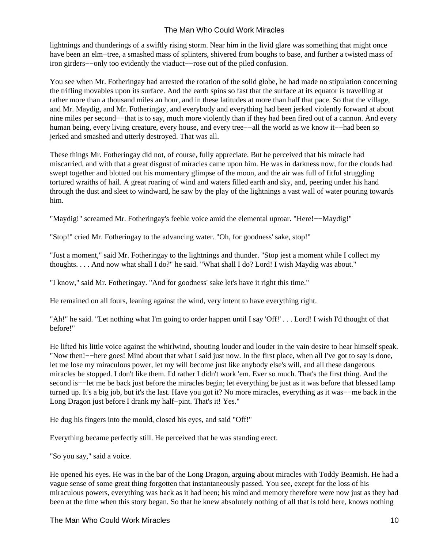lightnings and thunderings of a swiftly rising storm. Near him in the livid glare was something that might once have been an elm−tree, a smashed mass of splinters, shivered from boughs to base, and further a twisted mass of iron girders−−only too evidently the viaduct−−rose out of the piled confusion.

You see when Mr. Fotheringay had arrested the rotation of the solid globe, he had made no stipulation concerning the trifling movables upon its surface. And the earth spins so fast that the surface at its equator is travelling at rather more than a thousand miles an hour, and in these latitudes at more than half that pace. So that the village, and Mr. Maydig, and Mr. Fotheringay, and everybody and everything had been jerked violently forward at about nine miles per second−−that is to say, much more violently than if they had been fired out of a cannon. And every human being, every living creature, every house, and every tree−−all the world as we know it−−had been so jerked and smashed and utterly destroyed. That was all.

These things Mr. Fotheringay did not, of course, fully appreciate. But he perceived that his miracle had miscarried, and with that a great disgust of miracles came upon him. He was in darkness now, for the clouds had swept together and blotted out his momentary glimpse of the moon, and the air was full of fitful struggling tortured wraiths of hail. A great roaring of wind and waters filled earth and sky, and, peering under his hand through the dust and sleet to windward, he saw by the play of the lightnings a vast wall of water pouring towards him.

"Maydig!" screamed Mr. Fotheringay's feeble voice amid the elemental uproar. "Here!−−Maydig!"

"Stop!" cried Mr. Fotheringay to the advancing water. "Oh, for goodness' sake, stop!"

"Just a moment," said Mr. Fotheringay to the lightnings and thunder. "Stop jest a moment while I collect my thoughts. . . . And now what shall I do?" he said. "What shall I do? Lord! I wish Maydig was about."

"I know," said Mr. Fotheringay. "And for goodness' sake let's have it right this time."

He remained on all fours, leaning against the wind, very intent to have everything right.

"Ah!" he said. "Let nothing what I'm going to order happen until I say 'Off!' . . . Lord! I wish I'd thought of that before!"

He lifted his little voice against the whirlwind, shouting louder and louder in the vain desire to hear himself speak. "Now then!−−here goes! Mind about that what I said just now. In the first place, when all I've got to say is done, let me lose my miraculous power, let my will become just like anybody else's will, and all these dangerous miracles be stopped. I don't like them. I'd rather I didn't work 'em. Ever so much. That's the first thing. And the second is—−let me be back just before the miracles begin; let everything be just as it was before that blessed lamp turned up. It's a big job, but it's the last. Have you got it? No more miracles, everything as it was−−me back in the Long Dragon just before I drank my half−pint. That's it! Yes."

He dug his fingers into the mould, closed his eyes, and said "Off!"

Everything became perfectly still. He perceived that he was standing erect.

"So you say," said a voice.

He opened his eyes. He was in the bar of the Long Dragon, arguing about miracles with Toddy Beamish. He had a vague sense of some great thing forgotten that instantaneously passed. You see, except for the loss of his miraculous powers, everything was back as it had been; his mind and memory therefore were now just as they had been at the time when this story began. So that he knew absolutely nothing of all that is told here, knows nothing